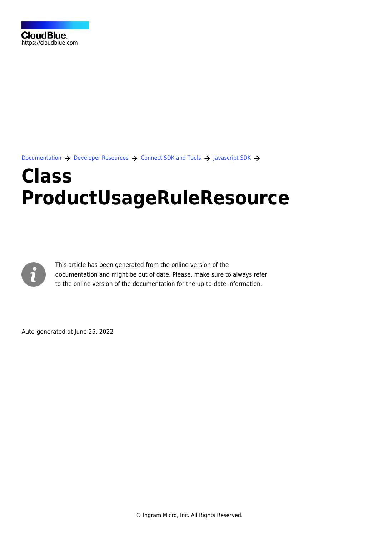[Documentation](https://connect.cloudblue.com/documentation)  $\rightarrow$  [Developer Resources](https://connect.cloudblue.com/community/developers/)  $\rightarrow$  [Connect SDK and Tools](https://connect.cloudblue.com/community/developers/sdk/)  $\rightarrow$  [Javascript SDK](https://connect.cloudblue.com/community/developers/sdk/javascript-sdk/)  $\rightarrow$ 

# **[Class](https://connect.cloudblue.com/community/developers/sdk/javascript-sdk/class-productusageruleresource/) [ProductUsageRuleResource](https://connect.cloudblue.com/community/developers/sdk/javascript-sdk/class-productusageruleresource/)**



This article has been generated from the online version of the documentation and might be out of date. Please, make sure to always refer to the online version of the documentation for the up-to-date information.

Auto-generated at June 25, 2022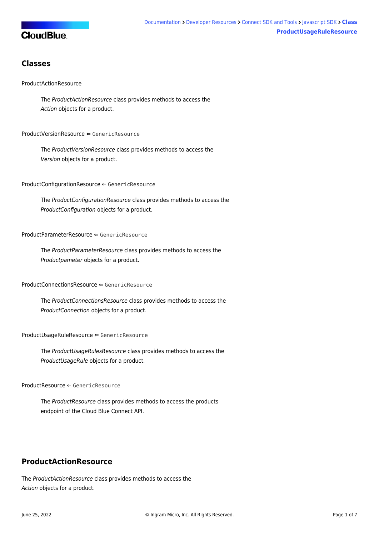# **CloudBlue**

# **Classes**

## [ProductActionResource](#page-1-0)

The ProductActionResource class provides methods to access the Action objects for a product.

#### [ProductVersionResource](#page-2-0) ⇐ GenericResource

The ProductVersionResource class provides methods to access the Version objects for a product.

[ProductConfigurationResource](#page-3-0) ⇐ GenericResource

The ProductConfigurationResource class provides methods to access the ProductConfiguration objects for a product.

#### [ProductParameterResource](#page-3-1) ⇐ GenericResource

The ProductParameterResource class provides methods to access the Productpameter objects for a product.

#### [ProductConnectionsResource](#page-3-2) ⇐ GenericResource

The ProductConnectionsResource class provides methods to access the ProductConnection objects for a product.

[ProductUsageRuleResource](#page-3-3) ⇐ GenericResource

The ProductUsageRulesResource class provides methods to access the ProductUsageRule objects for a product.

[ProductResource](#page-4-0) ⇐ GenericResource

The ProductResource class provides methods to access the products endpoint of the Cloud Blue Connect API.

# <span id="page-1-0"></span>**ProductActionResource**

The ProductActionResource class provides methods to access the Action objects for a product.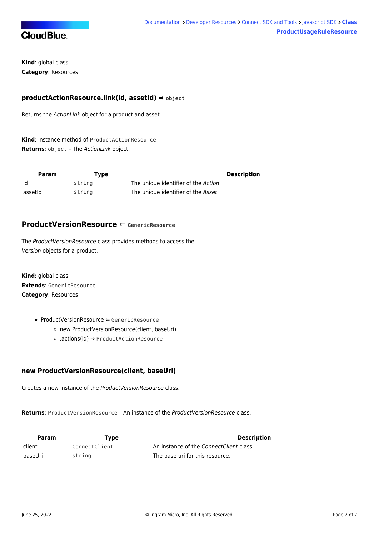

**Kind**: global class **Category**: Resources

## **productActionResource.link(id, assetId) ⇒ object**

Returns the ActionLink object for a product and asset.

**Kind**: instance method of [ProductActionResource](#page-1-0) **Returns**: object – The ActionLink object.

| Param   | Tvpe   |                                      | <b>Description</b> |
|---------|--------|--------------------------------------|--------------------|
| id      | strina | The unique identifier of the Action. |                    |
| assetid | string | The unique identifier of the Asset.  |                    |

# <span id="page-2-0"></span>**ProductVersionResource ⇐ GenericResource**

The ProductVersionResource class provides methods to access the Version objects for a product.

**Kind**: global class **Extends**: GenericResource **Category**: Resources

- [ProductVersionResource](#page-2-0) ← GenericResource
	- [new ProductVersionResource\(client, baseUri\)](#page-2-1)
	- [.actions\(id\)](#page-2-2) ⇒ [ProductActionResource](#page-1-0)

## <span id="page-2-1"></span>**new ProductVersionResource(client, baseUri)**

Creates a new instance of the ProductVersionResource class.

**Returns**: [ProductVersionResource](#page-2-0) – An instance of the ProductVersionResource class.

<span id="page-2-2"></span>

| Param   | Type          | <b>Description</b>                      |
|---------|---------------|-----------------------------------------|
| client  | ConnectClient | An instance of the ConnectClient class. |
| baseUri | string        | The base uri for this resource.         |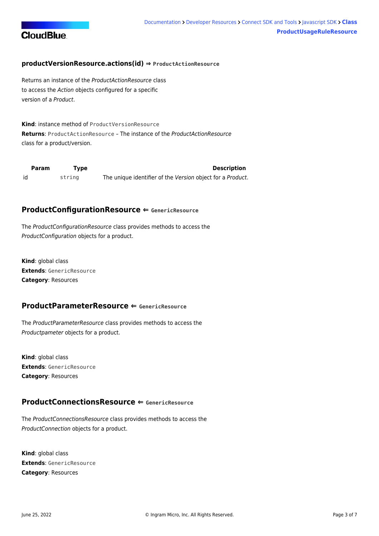

## **productVersionResource.actions(id) ⇒ [ProductActionResource](#page-1-0)**

Returns an instance of the ProductActionResource class to access the Action objects configured for a specific version of a Product.

**Kind**: instance method of [ProductVersionResource](#page-2-0) **Returns**: [ProductActionResource](#page-1-0) – The instance of the ProductActionResource class for a product/version.

<span id="page-3-0"></span>

| Param | Tvpe   | <b>Description</b>                                         |
|-------|--------|------------------------------------------------------------|
| id    | string | The unique identifier of the Version object for a Product. |

## **ProductConfigurationResource ⇐ GenericResource**

The ProductConfigurationResource class provides methods to access the ProductConfiguration objects for a product.

**Kind**: global class **Extends**: GenericResource **Category**: Resources

## <span id="page-3-1"></span>**ProductParameterResource ⇐ GenericResource**

The ProductParameterResource class provides methods to access the Productpameter objects for a product.

**Kind**: global class **Extends**: GenericResource **Category**: Resources

# <span id="page-3-2"></span>**ProductConnectionsResource ⇐ GenericResource**

The ProductConnectionsResource class provides methods to access the ProductConnection objects for a product.

<span id="page-3-3"></span>**Kind**: global class **Extends**: GenericResource **Category**: Resources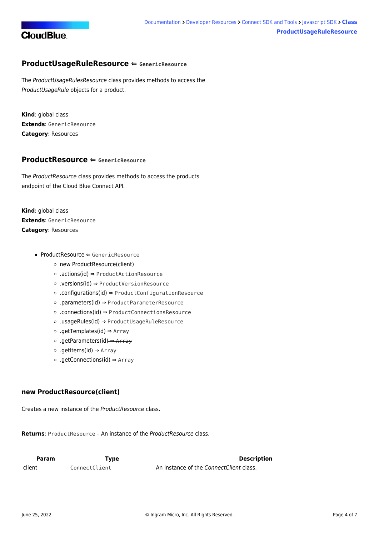

# **ProductUsageRuleResource ⇐ GenericResource**

The ProductUsageRulesResource class provides methods to access the ProductUsageRule objects for a product.

**Kind**: global class **Extends**: GenericResource **Category**: Resources

## <span id="page-4-0"></span>**ProductResource ⇐ GenericResource**

The ProductResource class provides methods to access the products endpoint of the Cloud Blue Connect API.

**Kind**: global class **Extends**: GenericResource **Category**: Resources

- [ProductResource](#page-4-0) ← GenericResource
	- [new ProductResource\(client\)](#page-4-1)
	- [.actions\(id\)](#page-4-2) ⇒ [ProductActionResource](#page-1-0)
	- [.versions\(id\)](#page-5-0) ⇒ [ProductVersionResource](#page-2-0)
	- [.configurations\(id\)](#page-5-1) ⇒ [ProductConfigurationResource](#page-3-0)
	- [.parameters\(id\)](#page-5-2) ⇒ [ProductParameterResource](#page-3-1)
	- [.connections\(id\)](#page-6-0) ⇒ [ProductConnectionsResource](#page-3-2)
	- [.usageRules\(id\)](#page-6-1) ⇒ [ProductUsageRuleResource](#page-3-3)
	- [.getTemplates\(id\)](#page-6-2) ⇒ Array
	- [.getParameters\(id\)](#page-6-3) ⇒ Array
	- [.getItems\(id\)](#page-7-0) ⇒ Array
	- [.getConnections\(id\)](#page-7-1) ⇒ Array

## <span id="page-4-1"></span>**new ProductResource(client)**

Creates a new instance of the ProductResource class.

**Returns**: [ProductResource](#page-4-0) – An instance of the ProductResource class.

<span id="page-4-2"></span>

| <b>Param</b> | Type          | <b>Description</b>                      |
|--------------|---------------|-----------------------------------------|
| client       | ConnectClient | An instance of the ConnectClient class. |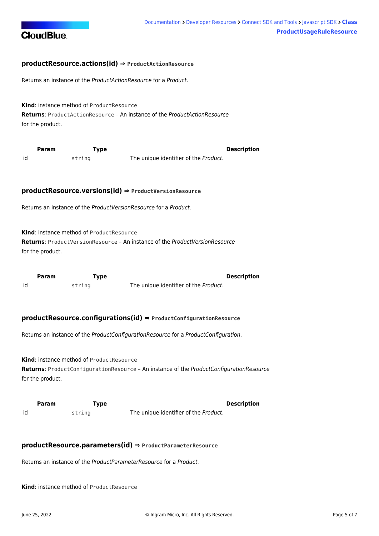

## **productResource.actions(id) ⇒ [ProductActionResource](#page-1-0)**

Returns an instance of the ProductActionResource for a Product.

**Kind**: instance method of [ProductResource](#page-4-0) **Returns**: [ProductActionResource](#page-1-0) – An instance of the ProductActionResource for the product.

<span id="page-5-0"></span>

|    | <b>Param</b> | Type   | <b>Description</b>                    |
|----|--------------|--------|---------------------------------------|
| id |              | string | The unique identifier of the Product. |

#### **productResource.versions(id) ⇒ [ProductVersionResource](#page-2-0)**

Returns an instance of the ProductVersionResource for a Product.

**Kind**: instance method of [ProductResource](#page-4-0)

**Returns**: [ProductVersionResource](#page-2-0) – An instance of the ProductVersionResource for the product.

<span id="page-5-1"></span>

|    | <b>Param</b> | Type   | <b>Description</b>                    |
|----|--------------|--------|---------------------------------------|
| id |              | string | The unique identifier of the Product. |

#### **productResource.configurations(id) ⇒ [ProductConfigurationResource](#page-3-0)**

Returns an instance of the ProductConfigurationResource for a ProductConfiguration.

**Kind**: instance method of [ProductResource](#page-4-0) **Returns**: [ProductConfigurationResource](#page-3-0) – An instance of the ProductConfigurationResource for the product.

<span id="page-5-2"></span>

|    | <b>Param</b> | Type   | <b>Description</b>                    |
|----|--------------|--------|---------------------------------------|
| id |              | string | The unique identifier of the Product. |

#### **productResource.parameters(id) ⇒ [ProductParameterResource](#page-3-1)**

Returns an instance of the ProductParameterResource for a Product.

**Kind**: instance method of [ProductResource](#page-4-0)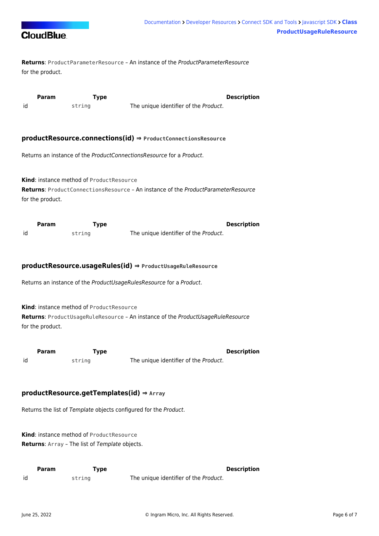

**Returns**: [ProductParameterResource](#page-3-1) – An instance of the ProductParameterResource for the product.

<span id="page-6-0"></span>

|    | Param | Type   |                                       | <b>Description</b> |
|----|-------|--------|---------------------------------------|--------------------|
| id |       | string | The unique identifier of the Product. |                    |

## **productResource.connections(id) ⇒ [ProductConnectionsResource](#page-3-2)**

Returns an instance of the ProductConnectionsResource for a Product.

**Kind**: instance method of [ProductResource](#page-4-0) **Returns**: [ProductConnectionsResource](#page-3-2) – An instance of the ProductParameterResource for the product.

<span id="page-6-1"></span>

|    | <b>Param</b> | Type   | <b>Description</b>                    |  |
|----|--------------|--------|---------------------------------------|--|
| id |              | string | The unique identifier of the Product. |  |

## **productResource.usageRules(id) ⇒ [ProductUsageRuleResource](#page-3-3)**

Returns an instance of the ProductUsageRulesResource for a Product.

**Kind**: instance method of [ProductResource](#page-4-0)

**Returns**: [ProductUsageRuleResource](#page-3-3) – An instance of the ProductUsageRuleResource for the product.

<span id="page-6-2"></span>

|    | Param | rype   | <b>Description</b>                    |
|----|-------|--------|---------------------------------------|
| id |       | string | The unique identifier of the Product. |

## **productResource.getTemplates(id) ⇒ Array**

Returns the list of Template objects configured for the Product.

**Kind**: instance method of [ProductResource](#page-4-0) **Returns**: Array – The list of Template objects.

<span id="page-6-3"></span>

|    | Param | Type   |                                       | <b>Description</b> |
|----|-------|--------|---------------------------------------|--------------------|
| id |       | strina | The unique identifier of the Product. |                    |